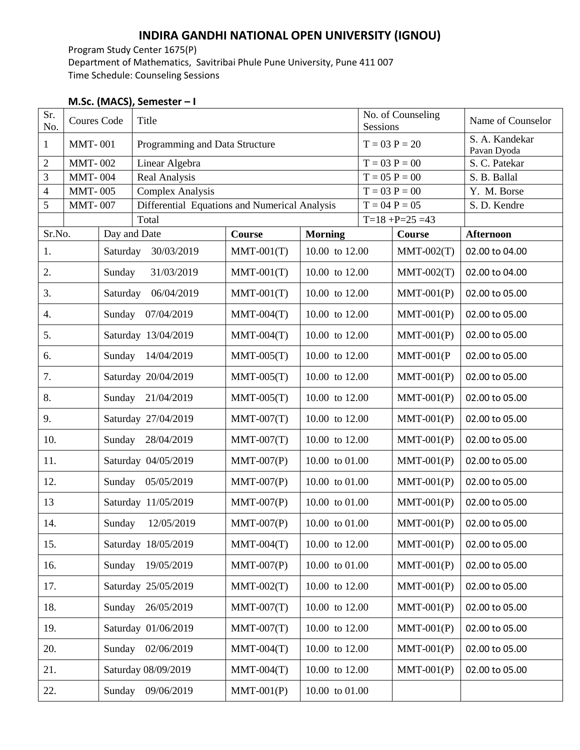## **INDIRA GANDHI NATIONAL OPEN UNIVERSITY (IGNOU)**

Program Study Center 1675(P) Department of Mathematics, Savitribai Phule Pune University, Pune 411 007 Time Schedule: Counseling Sessions

## **M.Sc. (MACS), Semester – I**

| Sr.<br>No.     | <b>Coures Code</b> |                        | Title                                         |               |                        | No. of Counseling<br>Sessions |                 | Name of Counselor             |
|----------------|--------------------|------------------------|-----------------------------------------------|---------------|------------------------|-------------------------------|-----------------|-------------------------------|
| $\mathbf{1}$   | <b>MMT-001</b>     |                        | Programming and Data Structure                |               |                        |                               | $T = 03 P = 20$ | S. A. Kandekar<br>Pavan Dyoda |
| $\overline{c}$ | <b>MMT-002</b>     |                        | Linear Algebra                                |               |                        |                               | $T = 03 P = 00$ | S. C. Patekar                 |
| $\mathfrak{Z}$ | <b>MMT-004</b>     |                        | Real Analysis                                 |               |                        |                               | $T = 05 P = 00$ | S. B. Ballal                  |
| $\overline{4}$ | <b>MMT-005</b>     |                        | <b>Complex Analysis</b>                       |               |                        |                               | $T = 03 P = 00$ | Y. M. Borse                   |
| 5              | <b>MMT-007</b>     |                        | Differential Equations and Numerical Analysis |               |                        | $T = 04 P = 05$               |                 | S. D. Kendre                  |
|                |                    |                        | Total                                         |               | $T=18 + P=25 = 43$     |                               |                 |                               |
| Sr.No.         |                    | Day and Date           |                                               | <b>Course</b> | <b>Morning</b>         |                               | Course          | <b>Afternoon</b>              |
| 1.             |                    | Saturday<br>30/03/2019 |                                               | $MMT-001(T)$  | 10.00 to 12.00         |                               | $MMT-002(T)$    | 02.00 to 04.00                |
| 2.             |                    | Sunday<br>31/03/2019   |                                               | $MMT-001(T)$  | 10.00 to 12.00         |                               | $MMT-002(T)$    | 02.00 to 04.00                |
| 3.             |                    | Saturday<br>06/04/2019 |                                               | $MMT-001(T)$  | 10.00 to 12.00         |                               | $MMT-001(P)$    | 02.00 to 05.00                |
| 4.             |                    | Sunday                 | 07/04/2019                                    | $MMT-004(T)$  | 10.00 to 12.00         |                               | $MMT-001(P)$    | 02.00 to 05.00                |
| 5.             |                    |                        | Saturday 13/04/2019                           | $MMT-004(T)$  | 10.00 to 12.00         |                               | $MMT-001(P)$    | 02.00 to 05.00                |
| 6.             |                    |                        | Sunday 14/04/2019                             | $MMT-005(T)$  | 10.00 to 12.00         |                               | $MMT-001(P)$    | 02.00 to 05.00                |
| 7.             |                    | Saturday 20/04/2019    |                                               | $MMT-005(T)$  | 10.00 to 12.00         |                               | $MMT-001(P)$    | 02.00 to 05.00                |
| 8.             |                    | Sunday<br>21/04/2019   |                                               | $MMT-005(T)$  | 10.00 to 12.00         |                               | $MMT-001(P)$    | 02.00 to 05.00                |
| 9.             |                    |                        | Saturday 27/04/2019                           | $MMT-007(T)$  | 10.00 to 12.00         |                               | $MMT-001(P)$    | 02.00 to 05.00                |
| 10.            |                    | Sunday                 | 28/04/2019                                    | $MMT-007(T)$  | 10.00 to 12.00         |                               | $MMT-001(P)$    | 02.00 to 05.00                |
| 11.            |                    |                        | Saturday 04/05/2019                           | $MMT-007(P)$  | 10.00 to 01.00         |                               | $MMT-001(P)$    | 02.00 to 05.00                |
| 12.            |                    | Sunday                 | 05/05/2019                                    | $MMT-007(P)$  | 10.00 to 01.00         |                               | $MMT-001(P)$    | 02.00 to 05.00                |
| 13             |                    |                        | Saturday 11/05/2019                           | $MMT-007(P)$  | 10.00 to 01.00         |                               | $MMT-001(P)$    | 02.00 to 05.00                |
| 14.            |                    | Sunday<br>12/05/2019   |                                               | $MMT-007(P)$  | 10.00 to 01.00         |                               | $MMT-001(P)$    | 02.00 to 05.00                |
| 15.            |                    | Saturday 18/05/2019    |                                               | $MMT-004(T)$  | 10.00 to 12.00         |                               | $MMT-001(P)$    | 02.00 to 05.00                |
| 16.            |                    | Sunday                 | 19/05/2019                                    | $MMT-007(P)$  | 10.00 to 01.00         |                               | $MMT-001(P)$    | 02.00 to 05.00                |
| 17.            |                    | Saturday 25/05/2019    |                                               | $MMT-002(T)$  | 10.00 to 12.00         |                               | $MMT-001(P)$    | 02.00 to 05.00                |
| 18.            |                    | 26/05/2019<br>Sunday   |                                               | $MMT-007(T)$  | 10.00 to 12.00         |                               | $MMT-001(P)$    | 02.00 to 05.00                |
| 19.            |                    | Saturday 01/06/2019    |                                               | $MMT-007(T)$  | 10.00 to 12.00         |                               | $MMT-001(P)$    | 02.00 to 05.00                |
| 20.            |                    |                        | 02/06/2019<br>Sunday                          | $MMT-004(T)$  | 10.00 to 12.00         |                               | $MMT-001(P)$    | 02.00 to 05.00                |
| 21.            |                    | Saturday 08/09/2019    |                                               | $MMT-004(T)$  | 10.00 to 12.00         |                               | $MMT-001(P)$    | 02.00 to 05.00                |
| 22.            |                    | Sunday                 | 09/06/2019                                    | $MMT-001(P)$  | $10.00\,$ to $01.00\,$ |                               |                 |                               |